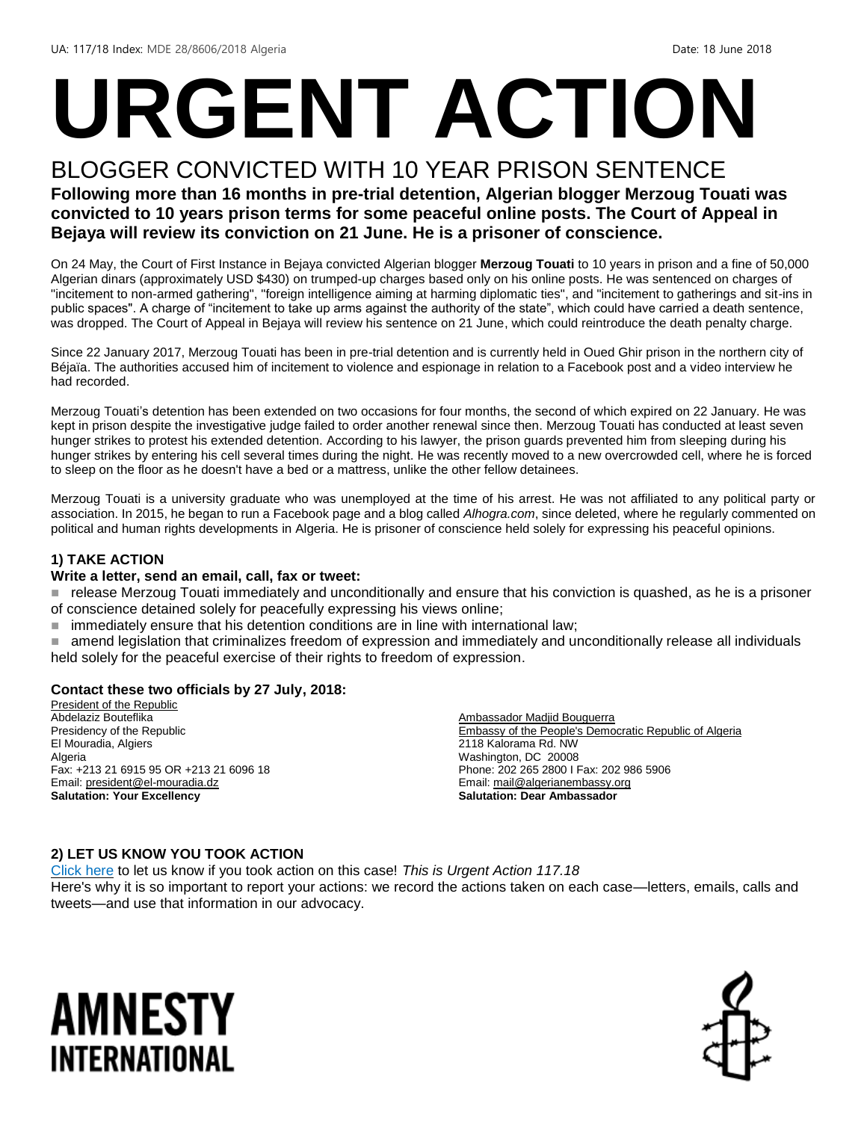# **URGENT ACTION**

#### BLOGGER CONVICTED WITH 10 YEAR PRISON SENTENCE **Following more than 16 months in pre-trial detention, Algerian blogger Merzoug Touati was convicted to 10 years prison terms for some peaceful online posts. The Court of Appeal in Bejaya will review its conviction on 21 June. He is a prisoner of conscience.**

On 24 May, the Court of First Instance in Bejaya convicted Algerian blogger **Merzoug Touati** to 10 years in prison and a fine of 50,000 Algerian dinars (approximately USD \$430) on trumped-up charges based only on his online posts. He was sentenced on charges of "incitement to non-armed gathering", "foreign intelligence aiming at harming diplomatic ties", and "incitement to gatherings and sit-ins in public spaces". A charge of "incitement to take up arms against the authority of the state", which could have carried a death sentence, was dropped. The Court of Appeal in Bejaya will review his sentence on 21 June, which could reintroduce the death penalty charge.

Since 22 January 2017, Merzoug Touati has been in pre-trial detention and is currently held in Oued Ghir prison in the northern city of Béjaïa. The authorities accused him of incitement to violence and espionage in relation to a Facebook post and a video interview he had recorded.

Merzoug Touati's detention has been extended on two occasions for four months, the second of which expired on 22 January. He was kept in prison despite the investigative judge failed to order another renewal since then. Merzoug Touati has conducted at least seven hunger strikes to protest his extended detention. According to his lawyer, the prison guards prevented him from sleeping during his hunger strikes by entering his cell several times during the night. He was recently moved to a new overcrowded cell, where he is forced to sleep on the floor as he doesn't have a bed or a mattress, unlike the other fellow detainees.

Merzoug Touati is a university graduate who was unemployed at the time of his arrest. He was not affiliated to any political party or association. In 2015, he began to run a Facebook page and a blog called *Alhogra.com*, since deleted, where he regularly commented on political and human rights developments in Algeria. He is prisoner of conscience held solely for expressing his peaceful opinions.

#### **1) TAKE ACTION**

#### **Write a letter, send an email, call, fax or tweet:**

- release Merzoug Touati immediately and unconditionally and ensure that his conviction is quashed, as he is a prisoner of conscience detained solely for peacefully expressing his views online;
- immediately ensure that his detention conditions are in line with international law;
- amend legislation that criminalizes freedom of expression and immediately and unconditionally release all individuals held solely for the peaceful exercise of their rights to freedom of expression.

#### **Contact these two officials by 27 July, 2018:**

President of the Republic Abdelaziz Bouteflika Presidency of the Republic El Mouradia, Algiers Algeria Fax: +213 21 6915 95 OR +213 21 6096 18 Email[: president@el-mouradia.dz](mailto:president@el-mouradia.dz) **Salutation: Your Excellency**

Ambassador Madjid Bouguerra Embassy of the People's Democratic Republic of Algeria 2118 Kalorama Rd. NW Washington, DC 20008 Phone: 202 265 2800 I Fax: 202 986 5906 Email[: mail@algerianembassy.org](mailto:mail@algerianembassy.org) **Salutation: Dear Ambassador**

#### **2) LET US KNOW YOU TOOK ACTION**

[Click here](https://www.amnestyusa.org/report-urgent-actions/) to let us know if you took action on this case! *This is Urgent Action 117.18* Here's why it is so important to report your actions: we record the actions taken on each case—letters, emails, calls and tweets—and use that information in our advocacy.